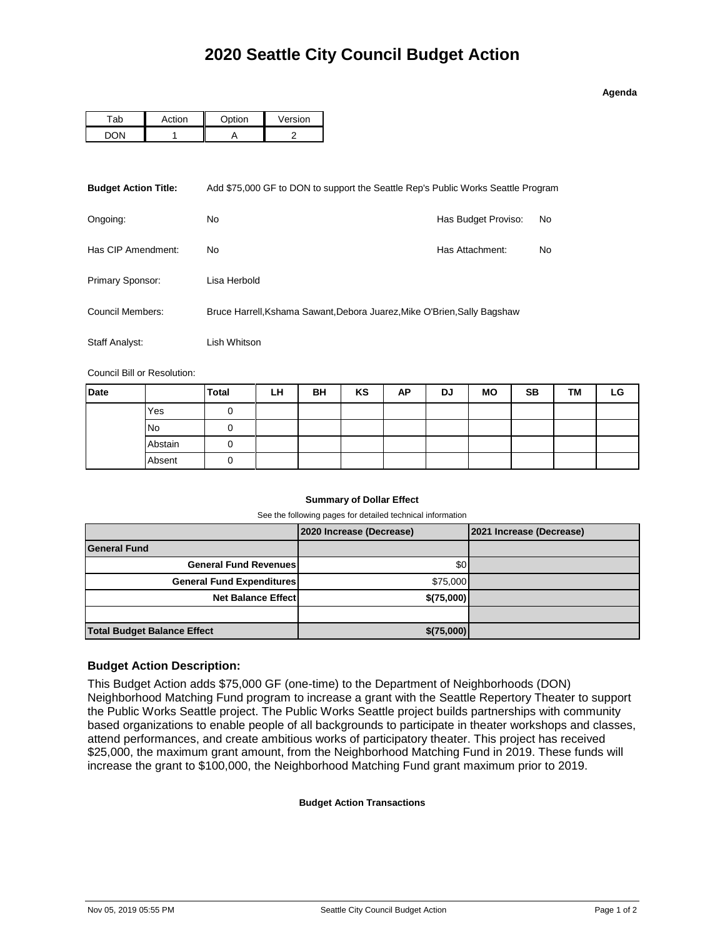| o<br>43 | ena |  |
|---------|-----|--|

|  | <b>Ontion</b> | Version |  |  |
|--|---------------|---------|--|--|
|  |               |         |  |  |

| <b>Budget Action Title:</b>                                                                  | Add \$75,000 GF to DON to support the Seattle Rep's Public Works Seattle Program |                     |    |  |  |
|----------------------------------------------------------------------------------------------|----------------------------------------------------------------------------------|---------------------|----|--|--|
| Ongoing:                                                                                     | No                                                                               | Has Budget Proviso: | No |  |  |
| Has CIP Amendment:                                                                           | No.                                                                              | Has Attachment:     | No |  |  |
| Primary Sponsor:                                                                             | Lisa Herbold                                                                     |                     |    |  |  |
| Council Members:<br>Bruce Harrell, Kshama Sawant, Debora Juarez, Mike O'Brien, Sally Bagshaw |                                                                                  |                     |    |  |  |
| Staff Analyst:                                                                               | Lish Whitson                                                                     |                     |    |  |  |

Council Bill or Resolution:

| <b>Date</b> |           | <b>Total</b> | LH | BH | KS | AP | DJ | <b>MO</b> | <b>SB</b> | TМ | LG |
|-------------|-----------|--------------|----|----|----|----|----|-----------|-----------|----|----|
|             | Yes       |              |    |    |    |    |    |           |           |    |    |
|             | <b>No</b> |              |    |    |    |    |    |           |           |    |    |
|             | Abstain   |              |    |    |    |    |    |           |           |    |    |
|             | Absent    | O            |    |    |    |    |    |           |           |    |    |

## **Summary of Dollar Effect**

See the following pages for detailed technical information

|                                    | 2020 Increase (Decrease) | 2021 Increase (Decrease) |
|------------------------------------|--------------------------|--------------------------|
| <b>General Fund</b>                |                          |                          |
| <b>General Fund Revenues</b>       | \$0                      |                          |
| <b>General Fund Expenditures</b>   | \$75,000                 |                          |
| <b>Net Balance Effect</b>          | \$(75,000)               |                          |
|                                    |                          |                          |
| <b>Total Budget Balance Effect</b> | \$(75,000)               |                          |

## **Budget Action Description:**

This Budget Action adds \$75,000 GF (one-time) to the Department of Neighborhoods (DON) Neighborhood Matching Fund program to increase a grant with the Seattle Repertory Theater to support the Public Works Seattle project. The Public Works Seattle project builds partnerships with community based organizations to enable people of all backgrounds to participate in theater workshops and classes, attend performances, and create ambitious works of participatory theater. This project has received \$25,000, the maximum grant amount, from the Neighborhood Matching Fund in 2019. These funds will increase the grant to \$100,000, the Neighborhood Matching Fund grant maximum prior to 2019.

## **Budget Action Transactions**